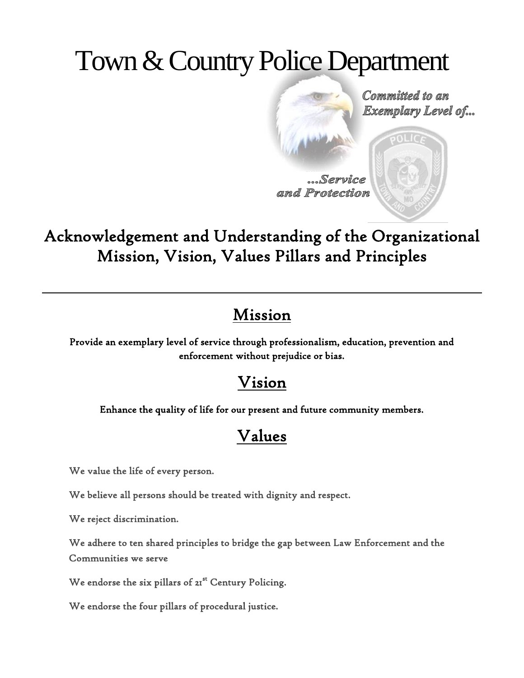# Town & Country Police Department

Committed to an **Exemplary Level of...** 

Service and Protection

Acknowledgement and Understanding of the Organizational Mission, Vision, Values Pillars and Principles

#### Mission

Provide an exemplary level of service through professionalism, education, prevention and enforcement without prejudice or bias.

#### Vision

Enhance the quality of life for our present and future community members.

## Values

We value the life of every person.

We believe all persons should be treated with dignity and respect.

We reject discrimination.

We adhere to ten shared principles to bridge the gap between Law Enforcement and the Communities we serve

We endorse the six pillars of 21<sup>st</sup> Century Policing.

We endorse the four pillars of procedural justice.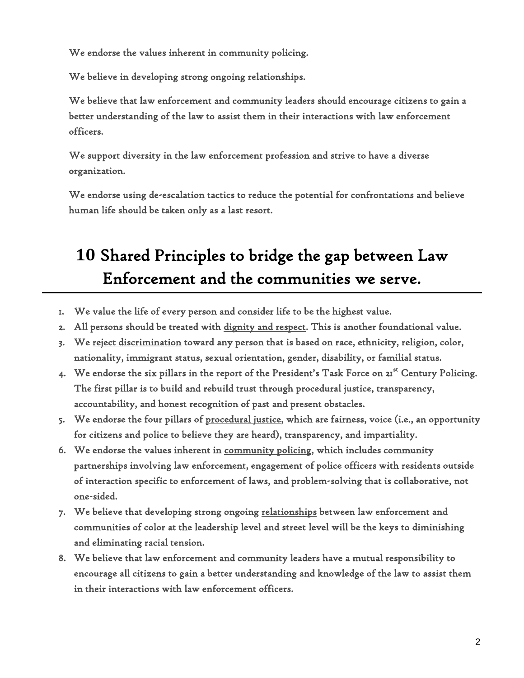We endorse the values inherent in community policing.

We believe in developing strong ongoing relationships.

We believe that law enforcement and community leaders should encourage citizens to gain a better understanding of the law to assist them in their interactions with law enforcement officers.

We support diversity in the law enforcement profession and strive to have a diverse organization.

We endorse using de-escalation tactics to reduce the potential for confrontations and believe human life should be taken only as a last resort.

# **10** Shared Principles to bridge the gap between Law Enforcement and the communities we serve.

- 1. We value the life of every person and consider life to be the highest value.
- 2. All persons should be treated with dignity and respect. This is another foundational value.
- 3. We reject discrimination toward any person that is based on race, ethnicity, religion, color, nationality, immigrant status, sexual orientation, gender, disability, or familial status.
- 4. We endorse the six pillars in the report of the President's Task Force on 21<sup>st</sup> Century Policing. The first pillar is to build and rebuild trust through procedural justice, transparency, accountability, and honest recognition of past and present obstacles.
- 5. We endorse the four pillars of procedural justice, which are fairness, voice (i.e., an opportunity for citizens and police to believe they are heard), transparency, and impartiality.
- 6. We endorse the values inherent in community policing, which includes community partnerships involving law enforcement, engagement of police officers with residents outside of interaction specific to enforcement of laws, and problem-solving that is collaborative, not one-sided.
- 7. We believe that developing strong ongoing relationships between law enforcement and communities of color at the leadership level and street level will be the keys to diminishing and eliminating racial tension.
- 8. We believe that law enforcement and community leaders have a mutual responsibility to encourage all citizens to gain a better understanding and knowledge of the law to assist them in their interactions with law enforcement officers.